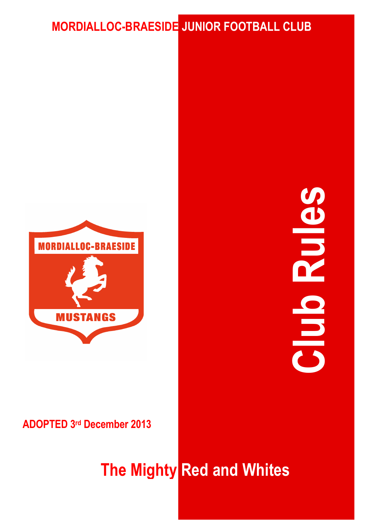# **MORDIALLOC-BRAESIDE JUNIOR FOOTBALL CLUB**



# **Club Rules DE**

# **ADOPTED 3rd December 2013**

# **The Mighty Red and Whites**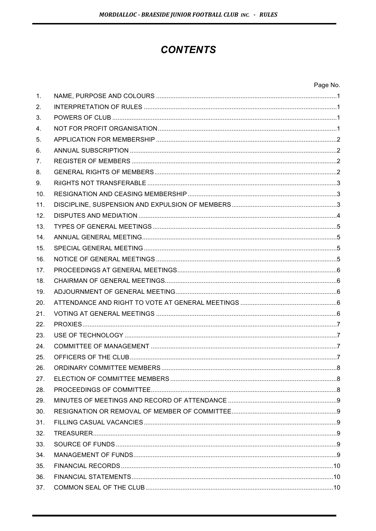# **CONTENTS**

| Page No. |
|----------|
|----------|

| $\mathbf{1}$ .  |  |
|-----------------|--|
| 2.              |  |
| 3.              |  |
| 4.              |  |
| 5.              |  |
| 6.              |  |
| 7.              |  |
| 8.              |  |
| 9.              |  |
| 10.             |  |
| 11.             |  |
| 12.             |  |
| 13.             |  |
| 14.             |  |
| 15.             |  |
| 16.             |  |
| 17 <sub>1</sub> |  |
| 18.             |  |
| 19.             |  |
| 20.             |  |
| 21.             |  |
| 22.             |  |
| 23.             |  |
| 24.             |  |
| 25.             |  |
| 26.             |  |
| 27.             |  |
| 28.             |  |
| 29.             |  |
| 30.             |  |
| 31.             |  |
| 32.             |  |
| 33.             |  |
| 34.             |  |
| 35.             |  |
| 36.             |  |
| 37.             |  |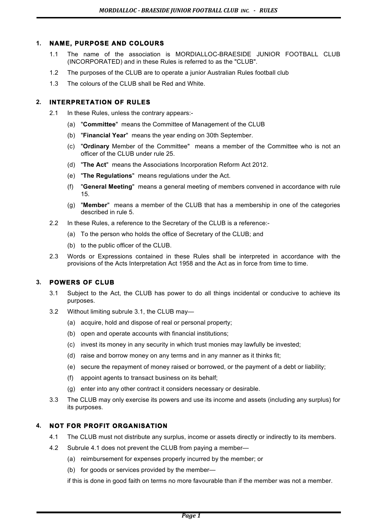# **1. NAME, PURPOSE AND COLOURS**

- 1.1 The name of the association is MORDIALLOC-BRAESIDE JUNIOR FOOTBALL CLUB (INCORPORATED) and in these Rules is referred to as the "CLUB".
- 1.2 The purposes of the CLUB are to operate a junior Australian Rules football club
- 1.3 The colours of the CLUB shall be Red and White.

# **2. INTERPRETATION OF RULES**

- 2.1 In these Rules, unless the contrary appears:-
	- (a) "**Committee**" means the Committee of Management of the CLUB
	- (b) "**Financial Year**" means the year ending on 30th September.
	- (c) "**Ordinary** Member of the Committee" means a member of the Committee who is not an officer of the CLUB under rule 25.
	- (d) "**The Act**" means the Associations Incorporation Reform Act 2012.
	- (e) "**The Regulations**" means regulations under the Act.
	- (f) "**General Meeting**" means a general meeting of members convened in accordance with rule 15.
	- (g) "**Member**" means a member of the CLUB that has a membership in one of the categories described in rule 5.
- 2.2 In these Rules, a reference to the Secretary of the CLUB is a reference:-
	- (a) To the person who holds the office of Secretary of the CLUB; and
	- (b) to the public officer of the CLUB.
- 2.3 Words or Expressions contained in these Rules shall be interpreted in accordance with the provisions of the Acts Interpretation Act 1958 and the Act as in force from time to time.

# **3. POWERS OF CLUB**

- 3.1 Subject to the Act, the CLUB has power to do all things incidental or conducive to achieve its purposes.
- 3.2 Without limiting subrule 3.1, the CLUB may—
	- (a) acquire, hold and dispose of real or personal property;
	- (b) open and operate accounts with financial institutions;
	- (c) invest its money in any security in which trust monies may lawfully be invested;
	- (d) raise and borrow money on any terms and in any manner as it thinks fit;
	- (e) secure the repayment of money raised or borrowed, or the payment of a debt or liability;
	- (f) appoint agents to transact business on its behalf;
	- (g) enter into any other contract it considers necessary or desirable.
- 3.3 The CLUB may only exercise its powers and use its income and assets (including any surplus) for its purposes.

# **4. NOT FOR PROFIT ORGANISATION**

- 4.1 The CLUB must not distribute any surplus, income or assets directly or indirectly to its members.
- 4.2 Subrule 4.1 does not prevent the CLUB from paying a member—
	- (a) reimbursement for expenses properly incurred by the member; or
	- (b) for goods or services provided by the member—

if this is done in good faith on terms no more favourable than if the member was not a member.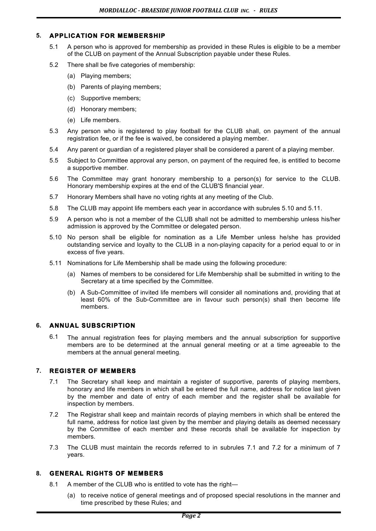# **5. APPLICATION FOR MEMBERSHIP**

- 5.1 A person who is approved for membership as provided in these Rules is eligible to be a member of the CLUB on payment of the Annual Subscription payable under these Rules.
- 5.2 There shall be five categories of membership:
	- (a) Playing members;
	- (b) Parents of playing members;
	- (c) Supportive members;
	- (d) Honorary members;
	- (e) Life members.
- 5.3 Any person who is registered to play football for the CLUB shall, on payment of the annual registration fee, or if the fee is waived, be considered a playing member.
- 5.4 Any parent or guardian of a registered player shall be considered a parent of a playing member.
- 5.5 Subject to Committee approval any person, on payment of the required fee, is entitled to become a supportive member.
- 5.6 The Committee may grant honorary membership to a person(s) for service to the CLUB. Honorary membership expires at the end of the CLUB'S financial year.
- 5.7 Honorary Members shall have no voting rights at any meeting of the Club.
- 5.8 The CLUB may appoint life members each year in accordance with subrules 5.10 and 5.11.
- 5.9 A person who is not a member of the CLUB shall not be admitted to membership unless his/her admission is approved by the Committee or delegated person.
- 5.10 No person shall be eligible for nomination as a Life Member unless he/she has provided outstanding service and loyalty to the CLUB in a non-playing capacity for a period equal to or in excess of five years.
- 5.11 Nominations for Life Membership shall be made using the following procedure:
	- (a) Names of members to be considered for Life Membership shall be submitted in writing to the Secretary at a time specified by the Committee.
	- (b) A Sub-Committee of invited life members will consider all nominations and, providing that at least 60% of the Sub-Committee are in favour such person(s) shall then become life members.

# **6. ANNUAL SUBSCRIPTION**

6.1 The annual registration fees for playing members and the annual subscription for supportive members are to be determined at the annual general meeting or at a time agreeable to the members at the annual general meeting.

# **7. REGISTER OF MEMBERS**

- 7.1 The Secretary shall keep and maintain a register of supportive, parents of playing members, honorary and life members in which shall be entered the full name, address for notice last given by the member and date of entry of each member and the register shall be available for inspection by members.
- 7.2 The Registrar shall keep and maintain records of playing members in which shall be entered the full name, address for notice last given by the member and playing details as deemed necessary by the Committee of each member and these records shall be available for inspection by members.
- 7.3 The CLUB must maintain the records referred to in subrules 7.1 and 7.2 for a minimum of 7 years.

# **8. GENERAL RIGHTS OF MEMBERS**

- 8.1 A member of the CLUB who is entitled to vote has the right-
	- (a) to receive notice of general meetings and of proposed special resolutions in the manner and time prescribed by these Rules; and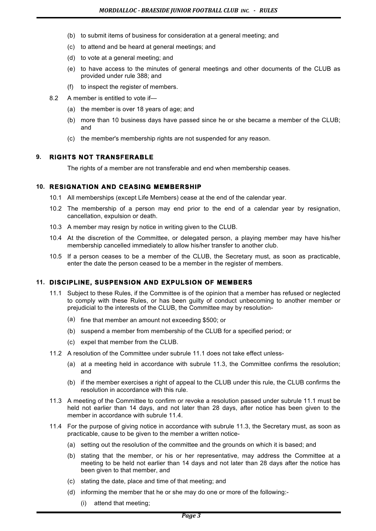- (b) to submit items of business for consideration at a general meeting; and
- (c) to attend and be heard at general meetings; and
- (d) to vote at a general meeting; and
- (e) to have access to the minutes of general meetings and other documents of the CLUB as provided under rule 388; and
- (f) to inspect the register of members.
- 8.2 A member is entitled to vote if—
	- (a) the member is over 18 years of age; and
	- (b) more than 10 business days have passed since he or she became a member of the CLUB; and
	- (c) the member's membership rights are not suspended for any reason.

# **9. RIGHTS NOT TRANSFERABLE**

The rights of a member are not transferable and end when membership ceases.

# **10. RESIGNATION AND CEASING MEMBERSHIP**

- 10.1 All memberships (except Life Members) cease at the end of the calendar year.
- 10.2 The membership of a person may end prior to the end of a calendar year by resignation, cancellation, expulsion or death.
- 10.3 A member may resign by notice in writing given to the CLUB.
- 10.4 At the discretion of the Committee, or delegated person, a playing member may have his/her membership cancelled immediately to allow his/her transfer to another club.
- 10.5 If a person ceases to be a member of the CLUB, the Secretary must, as soon as practicable, enter the date the person ceased to be a member in the register of members.

# **11. DISCIPLINE, SUSPENSION AND EXPULSION OF MEMBERS**

- 11.1 Subject to these Rules, if the Committee is of the opinion that a member has refused or neglected to comply with these Rules, or has been guilty of conduct unbecoming to another member or prejudicial to the interests of the CLUB, the Committee may by resolution-
	- (a) fine that member an amount not exceeding \$500; or
	- (b) suspend a member from membership of the CLUB for a specified period; or
	- (c) expel that member from the CLUB.
- 11.2 A resolution of the Committee under subrule 11.1 does not take effect unless-
	- (a) at a meeting held in accordance with subrule 11.3, the Committee confirms the resolution; and
	- (b) if the member exercises a right of appeal to the CLUB under this rule, the CLUB confirms the resolution in accordance with this rule.
- 11.3 A meeting of the Committee to confirm or revoke a resolution passed under subrule 11.1 must be held not earlier than 14 days, and not later than 28 days, after notice has been given to the member in accordance with subrule 11.4.
- 11.4 For the purpose of giving notice in accordance with subrule 11.3, the Secretary must, as soon as practicable, cause to be given to the member a written notice-
	- (a) setting out the resolution of the committee and the grounds on which it is based; and
	- (b) stating that the member, or his or her representative, may address the Committee at a meeting to be held not earlier than 14 days and not later than 28 days after the notice has been given to that member, and
	- (c) stating the date, place and time of that meeting; and
	- (d) informing the member that he or she may do one or more of the following:-
		- (i) attend that meeting;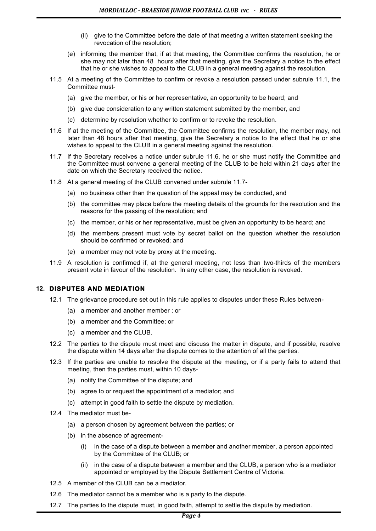- (ii) give to the Committee before the date of that meeting a written statement seeking the revocation of the resolution;
- (e) informing the member that, if at that meeting, the Committee confirms the resolution, he or she may not later than 48 hours after that meeting, give the Secretary a notice to the effect that he or she wishes to appeal to the CLUB in a general meeting against the resolution.
- 11.5 At a meeting of the Committee to confirm or revoke a resolution passed under subrule 11.1, the Committee must-
	- (a) give the member, or his or her representative, an opportunity to be heard; and
	- (b) give due consideration to any written statement submitted by the member, and
	- (c) determine by resolution whether to confirm or to revoke the resolution.
- 11.6 If at the meeting of the Committee, the Committee confirms the resolution, the member may, not later than 48 hours after that meeting, give the Secretary a notice to the effect that he or she wishes to appeal to the CLUB in a general meeting against the resolution.
- 11.7 If the Secretary receives a notice under subrule 11.6, he or she must notify the Committee and the Committee must convene a general meeting of the CLUB to be held within 21 days after the date on which the Secretary received the notice.
- 11.8 At a general meeting of the CLUB convened under subrule 11.7-
	- (a) no business other than the question of the appeal may be conducted, and
	- (b) the committee may place before the meeting details of the grounds for the resolution and the reasons for the passing of the resolution; and
	- (c) the member, or his or her representative, must be given an opportunity to be heard; and
	- (d) the members present must vote by secret ballot on the question whether the resolution should be confirmed or revoked; and
	- (e) a member may not vote by proxy at the meeting.
- 11.9 A resolution is confirmed if, at the general meeting, not less than two-thirds of the members present vote in favour of the resolution. In any other case, the resolution is revoked.

# **12. DISPUTES AND MEDIATION**

- 12.1 The grievance procedure set out in this rule applies to disputes under these Rules between-
	- (a) a member and another member ; or
	- (b) a member and the Committee; or
	- (c) a member and the CLUB.
- 12.2 The parties to the dispute must meet and discuss the matter in dispute, and if possible, resolve the dispute within 14 days after the dispute comes to the attention of all the parties.
- 12.3 If the parties are unable to resolve the dispute at the meeting, or if a party fails to attend that meeting, then the parties must, within 10 days-
	- (a) notify the Committee of the dispute; and
	- (b) agree to or request the appointment of a mediator; and
	- (c) attempt in good faith to settle the dispute by mediation.
- 12.4 The mediator must be-
	- (a) a person chosen by agreement between the parties; or
	- (b) in the absence of agreement-
		- (i) in the case of a dispute between a member and another member, a person appointed by the Committee of the CLUB; or
		- (ii) in the case of a dispute between a member and the CLUB, a person who is a mediator appointed or employed by the Dispute Settlement Centre of Victoria.
- 12.5 A member of the CLUB can be a mediator.
- 12.6 The mediator cannot be a member who is a party to the dispute.
- 12.7 The parties to the dispute must, in good faith, attempt to settle the dispute by mediation.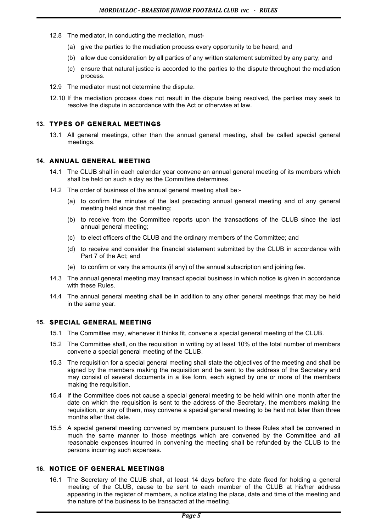- 12.8 The mediator, in conducting the mediation, must-
	- (a) give the parties to the mediation process every opportunity to be heard; and
	- (b) allow due consideration by all parties of any written statement submitted by any party; and
	- (c) ensure that natural justice is accorded to the parties to the dispute throughout the mediation process.
- 12.9 The mediator must not determine the dispute.
- 12.10 If the mediation process does not result in the dispute being resolved, the parties may seek to resolve the dispute in accordance with the Act or otherwise at law.

# **13. TYPES OF GENERAL MEETINGS**

13.1 All general meetings, other than the annual general meeting, shall be called special general meetings.

# **14. ANNUAL GENERAL MEETING**

- 14.1 The CLUB shall in each calendar year convene an annual general meeting of its members which shall be held on such a day as the Committee determines.
- 14.2 The order of business of the annual general meeting shall be:-
	- (a) to confirm the minutes of the last preceding annual general meeting and of any general meeting held since that meeting;
	- (b) to receive from the Committee reports upon the transactions of the CLUB since the last annual general meeting;
	- (c) to elect officers of the CLUB and the ordinary members of the Committee; and
	- (d) to receive and consider the financial statement submitted by the CLUB in accordance with Part 7 of the Act; and
	- (e) to confirm or vary the amounts (if any) of the annual subscription and joining fee.
- 14.3 The annual general meeting may transact special business in which notice is given in accordance with these Rules.
- 14.4 The annual general meeting shall be in addition to any other general meetings that may be held in the same year.

# **15. SPECIAL GENERAL MEETING**

- 15.1 The Committee may, whenever it thinks fit, convene a special general meeting of the CLUB.
- 15.2 The Committee shall, on the requisition in writing by at least 10% of the total number of members convene a special general meeting of the CLUB.
- 15.3 The requisition for a special general meeting shall state the objectives of the meeting and shall be signed by the members making the requisition and be sent to the address of the Secretary and may consist of several documents in a like form, each signed by one or more of the members making the requisition.
- 15.4 If the Committee does not cause a special general meeting to be held within one month after the date on which the requisition is sent to the address of the Secretary, the members making the requisition, or any of them, may convene a special general meeting to be held not later than three months after that date.
- 15.5 A special general meeting convened by members pursuant to these Rules shall be convened in much the same manner to those meetings which are convened by the Committee and all reasonable expenses incurred in convening the meeting shall be refunded by the CLUB to the persons incurring such expenses.

# **16. NOTICE OF GENERAL MEETINGS**

16.1 The Secretary of the CLUB shall, at least 14 days before the date fixed for holding a general meeting of the CLUB, cause to be sent to each member of the CLUB at his/her address appearing in the register of members, a notice stating the place, date and time of the meeting and the nature of the business to be transacted at the meeting.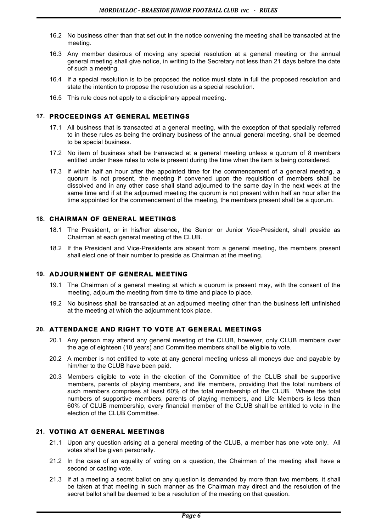- 16.2 No business other than that set out in the notice convening the meeting shall be transacted at the meeting.
- 16.3 Any member desirous of moving any special resolution at a general meeting or the annual general meeting shall give notice, in writing to the Secretary not less than 21 days before the date of such a meeting.
- 16.4 If a special resolution is to be proposed the notice must state in full the proposed resolution and state the intention to propose the resolution as a special resolution.
- 16.5 This rule does not apply to a disciplinary appeal meeting.

# **17. PROCEEDINGS AT GENERAL MEETINGS**

- 17.1 All business that is transacted at a general meeting, with the exception of that specially referred to in these rules as being the ordinary business of the annual general meeting, shall be deemed to be special business.
- 17.2 No item of business shall be transacted at a general meeting unless a quorum of 8 members entitled under these rules to vote is present during the time when the item is being considered.
- 17.3 If within half an hour after the appointed time for the commencement of a general meeting, a quorum is not present, the meeting if convened upon the requisition of members shall be dissolved and in any other case shall stand adjourned to the same day in the next week at the same time and if at the adjourned meeting the quorum is not present within half an hour after the time appointed for the commencement of the meeting, the members present shall be a quorum.

# **18. CHAIRMAN OF GENERAL MEETINGS**

- 18.1 The President, or in his/her absence, the Senior or Junior Vice-President, shall preside as Chairman at each general meeting of the CLUB.
- 18.2 If the President and Vice-Presidents are absent from a general meeting, the members present shall elect one of their number to preside as Chairman at the meeting.

# **19. ADJOURNMENT OF GENERAL MEETING**

- 19.1 The Chairman of a general meeting at which a quorum is present may, with the consent of the meeting, adjourn the meeting from time to time and place to place.
- 19.2 No business shall be transacted at an adjourned meeting other than the business left unfinished at the meeting at which the adjournment took place.

# **20. ATTENDANCE AND RIGHT TO VOTE AT GENERAL MEETINGS**

- 20.1 Any person may attend any general meeting of the CLUB, however, only CLUB members over the age of eighteen (18 years) and Committee members shall be eligible to vote.
- 20.2 A member is not entitled to vote at any general meeting unless all moneys due and payable by him/her to the CLUB have been paid.
- 20.3 Members eligible to vote in the election of the Committee of the CLUB shall be supportive members, parents of playing members, and life members, providing that the total numbers of such members comprises at least 60% of the total membership of the CLUB. Where the total numbers of supportive members, parents of playing members, and Life Members is less than 60% of CLUB membership, every financial member of the CLUB shall be entitled to vote in the election of the CLUB Committee.

# **21. VOTING AT GENERAL MEETINGS**

- 21.1 Upon any question arising at a general meeting of the CLUB, a member has one vote only. All votes shall be given personally.
- 21.2 In the case of an equality of voting on a question, the Chairman of the meeting shall have a second or casting vote.
- 21.3 If at a meeting a secret ballot on any question is demanded by more than two members, it shall be taken at that meeting in such manner as the Chairman may direct and the resolution of the secret ballot shall be deemed to be a resolution of the meeting on that question.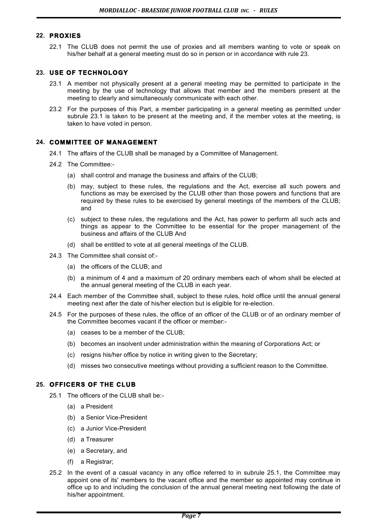#### **22. PROXIES**

22.1 The CLUB does not permit the use of proxies and all members wanting to vote or speak on his/her behalf at a general meeting must do so in person or in accordance with rule 23.

# **23. USE OF TECHNOLOGY**

- 23.1 A member not physically present at a general meeting may be permitted to participate in the meeting by the use of technology that allows that member and the members present at the meeting to clearly and simultaneously communicate with each other.
- 23.2 For the purposes of this Part, a member participating in a general meeting as permitted under subrule 23.1 is taken to be present at the meeting and, if the member votes at the meeting, is taken to have voted in person.

# **24. COMMITTEE OF MANAGEMENT**

- 24.1 The affairs of the CLUB shall be managed by a Committee of Management.
- 24.2 The Committee:-
	- (a) shall control and manage the business and affairs of the CLUB;
	- (b) may, subject to these rules, the regulations and the Act, exercise all such powers and functions as may be exercised by the CLUB other than those powers and functions that are required by these rules to be exercised by general meetings of the members of the CLUB; and
	- (c) subject to these rules, the regulations and the Act, has power to perform all such acts and things as appear to the Committee to be essential for the proper management of the business and affairs of the CLUB And
	- (d) shall be entitled to vote at all general meetings of the CLUB.
- 24.3 The Committee shall consist of:-
	- (a) the officers of the CLUB; and
	- (b) a minimum of 4 and a maximum of 20 ordinary members each of whom shall be elected at the annual general meeting of the CLUB in each year.
- 24.4 Each member of the Committee shall, subject to these rules, hold office until the annual general meeting next after the date of his/her election but is eligible for re-election.
- 24.5 For the purposes of these rules, the office of an officer of the CLUB or of an ordinary member of the Committee becomes vacant if the officer or member:-
	- (a) ceases to be a member of the CLUB;
	- (b) becomes an insolvent under administration within the meaning of Corporations Act; or
	- (c) resigns his/her office by notice in writing given to the Secretary;
	- (d) misses two consecutive meetings without providing a sufficient reason to the Committee.

# **25. OFFICERS OF THE CLUB**

- 25.1 The officers of the CLUB shall be:-
	- (a) a President
	- (b) a Senior Vice-President
	- (c) a Junior Vice-President
	- (d) a Treasurer
	- (e) a Secretary, and
	- (f) a Registrar;
- 25.2 In the event of a casual vacancy in any office referred to in subrule 25.1, the Committee may appoint one of its' members to the vacant office and the member so appointed may continue in office up to and including the conclusion of the annual general meeting next following the date of his/her appointment.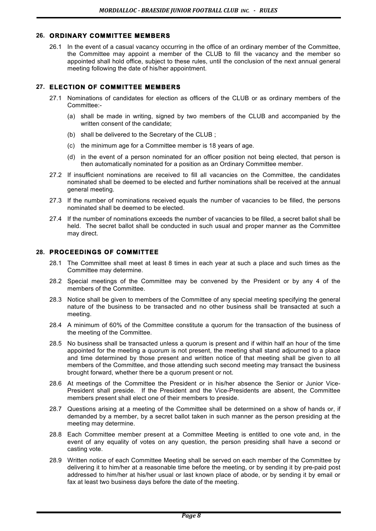# **26. ORDINARY COMMITTEE MEMBERS**

26.1 In the event of a casual vacancy occurring in the office of an ordinary member of the Committee, the Committee may appoint a member of the CLUB to fill the vacancy and the member so appointed shall hold office, subject to these rules, until the conclusion of the next annual general meeting following the date of his/her appointment.

# **27. ELECTION OF COMMITTEE MEMBERS**

- 27.1 Nominations of candidates for election as officers of the CLUB or as ordinary members of the Committee:-
	- (a) shall be made in writing, signed by two members of the CLUB and accompanied by the written consent of the candidate;
	- (b) shall be delivered to the Secretary of the CLUB ;
	- (c) the minimum age for a Committee member is 18 years of age.
	- (d) in the event of a person nominated for an officer position not being elected, that person is then automatically nominated for a position as an Ordinary Committee member.
- 27.2 If insufficient nominations are received to fill all vacancies on the Committee, the candidates nominated shall be deemed to be elected and further nominations shall be received at the annual general meeting.
- 27.3 If the number of nominations received equals the number of vacancies to be filled, the persons nominated shall be deemed to be elected.
- 27.4 If the number of nominations exceeds the number of vacancies to be filled, a secret ballot shall be held. The secret ballot shall be conducted in such usual and proper manner as the Committee may direct.

# **28. PROCEEDINGS OF COMMITTEE**

- 28.1 The Committee shall meet at least 8 times in each year at such a place and such times as the Committee may determine.
- 28.2 Special meetings of the Committee may be convened by the President or by any 4 of the members of the Committee.
- 28.3 Notice shall be given to members of the Committee of any special meeting specifying the general nature of the business to be transacted and no other business shall be transacted at such a meeting.
- 28.4 A minimum of 60% of the Committee constitute a quorum for the transaction of the business of the meeting of the Committee.
- 28.5 No business shall be transacted unless a quorum is present and if within half an hour of the time appointed for the meeting a quorum is not present, the meeting shall stand adjourned to a place and time determined by those present and written notice of that meeting shall be given to all members of the Committee, and those attending such second meeting may transact the business brought forward, whether there be a quorum present or not.
- 28.6 At meetings of the Committee the President or in his/her absence the Senior or Junior Vice-President shall preside. If the President and the Vice-Presidents are absent, the Committee members present shall elect one of their members to preside.
- 28.7 Questions arising at a meeting of the Committee shall be determined on a show of hands or, if demanded by a member, by a secret ballot taken in such manner as the person presiding at the meeting may determine.
- 28.8 Each Committee member present at a Committee Meeting is entitled to one vote and, in the event of any equality of votes on any question, the person presiding shall have a second or casting vote.
- 28.9 Written notice of each Committee Meeting shall be served on each member of the Committee by delivering it to him/her at a reasonable time before the meeting, or by sending it by pre-paid post addressed to him/her at his/her usual or last known place of abode, or by sending it by email or fax at least two business days before the date of the meeting.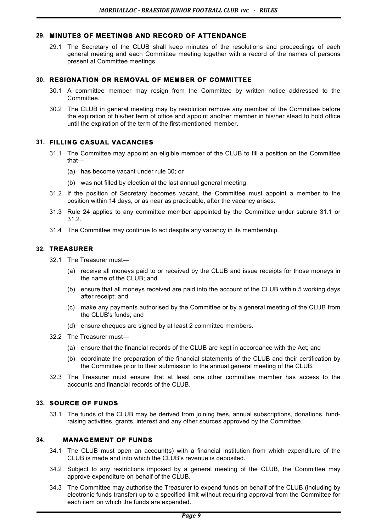# **29. MINUTES OF MEETINGS AND RECORD OF ATTENDANCE**

29.1 The Secretary of the CLUB shall keep minutes of the resolutions and proceedings of each general meeting and each Committee meeting together with a record of the names of persons present at Committee meetings.

# **30. RESIGNATION OR REMOVAL OF MEMBER OF COMMITTEE**

- 30.1 A committee member may resign from the Committee by written notice addressed to the Committee.
- 30.2 The CLUB in general meeting may by resolution remove any member of the Committee before the expiration of his/her term of office and appoint another member in his/her stead to hold office until the expiration of the term of the first-mentioned member.

# **31. FILLING CASUAL VACANCIES**

- 31.1 The Committee may appoint an eligible member of the CLUB to fill a position on the Committee that—
	- (a) has become vacant under rule 30; or
	- (b) was not filled by election at the last annual general meeting.
- 31.2 If the position of Secretary becomes vacant, the Committee must appoint a member to the position within 14 days, or as near as practicable, after the vacancy arises.
- 31.3 Rule 24 applies to any committee member appointed by the Committee under subrule 31.1 or 31.2.
- 31.4 The Committee may continue to act despite any vacancy in its membership.

# **32. TREASURER**

32.1 The Treasurer must—

- (a) receive all moneys paid to or received by the CLUB and issue receipts for those moneys in the name of the CLUB; and
- (b) ensure that all moneys received are paid into the account of the CLUB within 5 working days after receipt; and
- (c) make any payments authorised by the Committee or by a general meeting of the CLUB from the CLUB's funds; and
- (d) ensure cheques are signed by at least 2 committee members.
- 32.2 The Treasurer must—
	- (a) ensure that the financial records of the CLUB are kept in accordance with the Act; and
	- (b) coordinate the preparation of the financial statements of the CLUB and their certification by the Committee prior to their submission to the annual general meeting of the CLUB.
- 32.3 The Treasurer must ensure that at least one other committee member has access to the accounts and financial records of the CLUB.

# **33. SOURCE OF FUNDS**

33.1 The funds of the CLUB may be derived from joining fees, annual subscriptions, donations, fundraising activities, grants, interest and any other sources approved by the Committee.

# **34. MANAGEMENT OF FUNDS**

- 34.1 The CLUB must open an account(s) with a financial institution from which expenditure of the CLUB is made and into which the CLUB's revenue is deposited.
- 34.2 Subject to any restrictions imposed by a general meeting of the CLUB, the Committee may approve expenditure on behalf of the CLUB.
- 34.3 The Committee may authorise the Treasurer to expend funds on behalf of the CLUB (including by electronic funds transfer) up to a specified limit without requiring approval from the Committee for each item on which the funds are expended.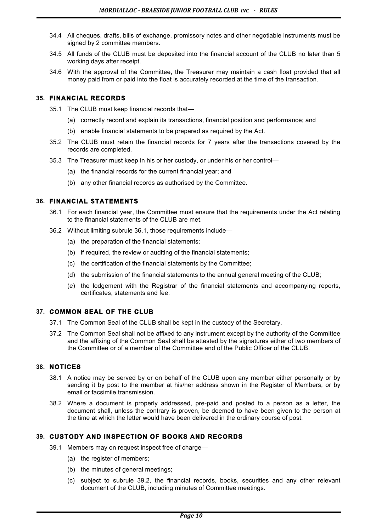- 34.4 All cheques, drafts, bills of exchange, promissory notes and other negotiable instruments must be signed by 2 committee members.
- 34.5 All funds of the CLUB must be deposited into the financial account of the CLUB no later than 5 working days after receipt.
- 34.6 With the approval of the Committee, the Treasurer may maintain a cash float provided that all money paid from or paid into the float is accurately recorded at the time of the transaction.

# **35. FINANCIAL RECORDS**

- 35.1 The CLUB must keep financial records that—
	- (a) correctly record and explain its transactions, financial position and performance; and
	- (b) enable financial statements to be prepared as required by the Act.
- 35.2 The CLUB must retain the financial records for 7 years after the transactions covered by the records are completed.
- 35.3 The Treasurer must keep in his or her custody, or under his or her control—
	- (a) the financial records for the current financial year; and
	- (b) any other financial records as authorised by the Committee.

# **36. FINANCIAL STATEMENTS**

- 36.1 For each financial year, the Committee must ensure that the requirements under the Act relating to the financial statements of the CLUB are met.
- 36.2 Without limiting subrule 36.1, those requirements include—
	- (a) the preparation of the financial statements;
	- (b) if required, the review or auditing of the financial statements;
	- (c) the certification of the financial statements by the Committee;
	- (d) the submission of the financial statements to the annual general meeting of the CLUB;
	- (e) the lodgement with the Registrar of the financial statements and accompanying reports, certificates, statements and fee.

# **37. COMMON SEAL OF THE CLUB**

- 37.1 The Common Seal of the CLUB shall be kept in the custody of the Secretary.
- 37.2 The Common Seal shall not be affixed to any instrument except by the authority of the Committee and the affixing of the Common Seal shall be attested by the signatures either of two members of the Committee or of a member of the Committee and of the Public Officer of the CLUB.

# **38. NOTICES**

- 38.1 A notice may be served by or on behalf of the CLUB upon any member either personally or by sending it by post to the member at his/her address shown in the Register of Members, or by email or facsimile transmission.
- 38.2 Where a document is properly addressed, pre-paid and posted to a person as a letter, the document shall, unless the contrary is proven, be deemed to have been given to the person at the time at which the letter would have been delivered in the ordinary course of post.

# **39. CUSTODY AND INSPECTION OF BOOKS AND RECORDS**

- 39.1 Members may on request inspect free of charge—
	- (a) the register of members;
	- (b) the minutes of general meetings;
	- (c) subject to subrule 39.2, the financial records, books, securities and any other relevant document of the CLUB, including minutes of Committee meetings.